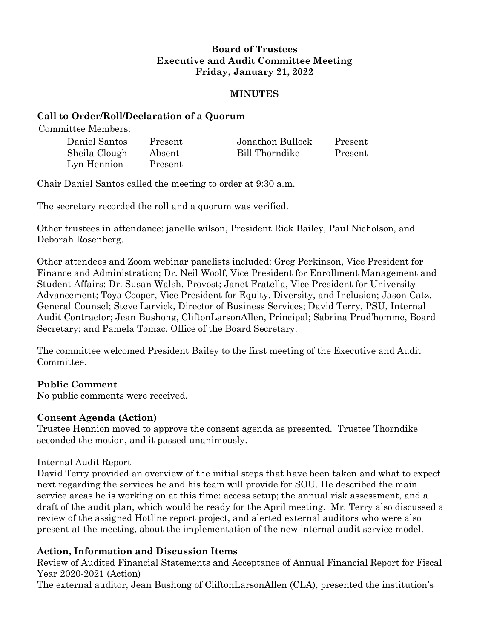# **Board of Trustees Executive and Audit Committee Meeting Friday, January 21, 2022**

#### **MINUTES**

#### **Call to Order/Roll/Declaration of a Quorum**

Committee Members:

| Daniel Santos | Present | Jonathon Bullock | Present |
|---------------|---------|------------------|---------|
| Sheila Clough | Absent  | Bill Thorndike   | Present |
| Lyn Hennion   | Present |                  |         |

Chair Daniel Santos called the meeting to order at 9:30 a.m.

The secretary recorded the roll and a quorum was verified.

Other trustees in attendance: janelle wilson, President Rick Bailey, Paul Nicholson, and Deborah Rosenberg.

Other attendees and Zoom webinar panelists included: Greg Perkinson, Vice President for Finance and Administration; Dr. Neil Woolf, Vice President for Enrollment Management and Student Affairs; Dr. Susan Walsh, Provost; Janet Fratella, Vice President for University Advancement; Toya Cooper, Vice President for Equity, Diversity, and Inclusion; Jason Catz, General Counsel; Steve Larvick, Director of Business Services; David Terry, PSU, Internal Audit Contractor; Jean Bushong, CliftonLarsonAllen, Principal; Sabrina Prud'homme, Board Secretary; and Pamela Tomac, Office of the Board Secretary.

The committee welcomed President Bailey to the first meeting of the Executive and Audit **Committee** 

## **Public Comment**

No public comments were received.

## **Consent Agenda (Action)**

Trustee Hennion moved to approve the consent agenda as presented. Trustee Thorndike seconded the motion, and it passed unanimously.

## Internal Audit Report

David Terry provided an overview of the initial steps that have been taken and what to expect next regarding the services he and his team will provide for SOU. He described the main service areas he is working on at this time: access setup; the annual risk assessment, and a draft of the audit plan, which would be ready for the April meeting. Mr. Terry also discussed a review of the assigned Hotline report project, and alerted external auditors who were also present at the meeting, about the implementation of the new internal audit service model.

## **Action, Information and Discussion Items**

Review of Audited Financial Statements and Acceptance of Annual Financial Report for Fiscal Year 2020-2021 (Action)

The external auditor, Jean Bushong of CliftonLarsonAllen (CLA), presented the institution's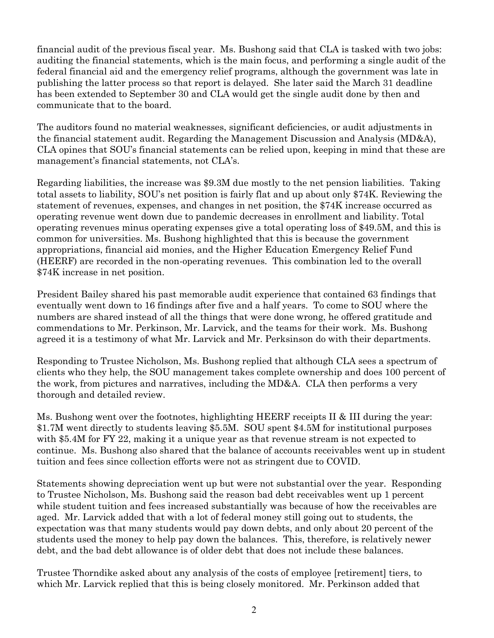financial audit of the previous fiscal year. Ms. Bushong said that CLA is tasked with two jobs: auditing the financial statements, which is the main focus, and performing a single audit of the federal financial aid and the emergency relief programs, although the government was late in publishing the latter process so that report is delayed. She later said the March 31 deadline has been extended to September 30 and CLA would get the single audit done by then and communicate that to the board.

The auditors found no material weaknesses, significant deficiencies, or audit adjustments in the financial statement audit. Regarding the Management Discussion and Analysis (MD&A), CLA opines that SOU's financial statements can be relied upon, keeping in mind that these are management's financial statements, not CLA's.

Regarding liabilities, the increase was \$9.3M due mostly to the net pension liabilities. Taking total assets to liability, SOU's net position is fairly flat and up about only \$74K. Reviewing the statement of revenues, expenses, and changes in net position, the \$74K increase occurred as operating revenue went down due to pandemic decreases in enrollment and liability. Total operating revenues minus operating expenses give a total operating loss of \$49.5M, and this is common for universities. Ms. Bushong highlighted that this is because the government appropriations, financial aid monies, and the Higher Education Emergency Relief Fund (HEERF) are recorded in the non-operating revenues. This combination led to the overall \$74K increase in net position.

President Bailey shared his past memorable audit experience that contained 63 findings that eventually went down to 16 findings after five and a half years. To come to SOU where the numbers are shared instead of all the things that were done wrong, he offered gratitude and commendations to Mr. Perkinson, Mr. Larvick, and the teams for their work. Ms. Bushong agreed it is a testimony of what Mr. Larvick and Mr. Perksinson do with their departments.

Responding to Trustee Nicholson, Ms. Bushong replied that although CLA sees a spectrum of clients who they help, the SOU management takes complete ownership and does 100 percent of the work, from pictures and narratives, including the MD&A. CLA then performs a very thorough and detailed review.

Ms. Bushong went over the footnotes, highlighting HEERF receipts II & III during the year: \$1.7M went directly to students leaving \$5.5M. SOU spent \$4.5M for institutional purposes with \$5.4M for FY 22, making it a unique year as that revenue stream is not expected to continue. Ms. Bushong also shared that the balance of accounts receivables went up in student tuition and fees since collection efforts were not as stringent due to COVID.

Statements showing depreciation went up but were not substantial over the year. Responding to Trustee Nicholson, Ms. Bushong said the reason bad debt receivables went up 1 percent while student tuition and fees increased substantially was because of how the receivables are aged. Mr. Larvick added that with a lot of federal money still going out to students, the expectation was that many students would pay down debts, and only about 20 percent of the students used the money to help pay down the balances. This, therefore, is relatively newer debt, and the bad debt allowance is of older debt that does not include these balances.

Trustee Thorndike asked about any analysis of the costs of employee [retirement] tiers, to which Mr. Larvick replied that this is being closely monitored. Mr. Perkinson added that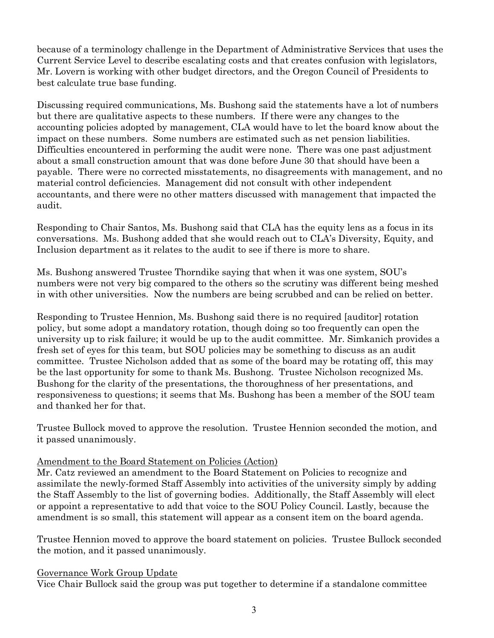because of a terminology challenge in the Department of Administrative Services that uses the Current Service Level to describe escalating costs and that creates confusion with legislators, Mr. Lovern is working with other budget directors, and the Oregon Council of Presidents to best calculate true base funding.

Discussing required communications, Ms. Bushong said the statements have a lot of numbers but there are qualitative aspects to these numbers. If there were any changes to the accounting policies adopted by management, CLA would have to let the board know about the impact on these numbers. Some numbers are estimated such as net pension liabilities. Difficulties encountered in performing the audit were none. There was one past adjustment about a small construction amount that was done before June 30 that should have been a payable. There were no corrected misstatements, no disagreements with management, and no material control deficiencies. Management did not consult with other independent accountants, and there were no other matters discussed with management that impacted the audit.

Responding to Chair Santos, Ms. Bushong said that CLA has the equity lens as a focus in its conversations. Ms. Bushong added that she would reach out to CLA's Diversity, Equity, and Inclusion department as it relates to the audit to see if there is more to share.

Ms. Bushong answered Trustee Thorndike saying that when it was one system, SOU's numbers were not very big compared to the others so the scrutiny was different being meshed in with other universities. Now the numbers are being scrubbed and can be relied on better.

Responding to Trustee Hennion, Ms. Bushong said there is no required [auditor] rotation policy, but some adopt a mandatory rotation, though doing so too frequently can open the university up to risk failure; it would be up to the audit committee. Mr. Simkanich provides a fresh set of eyes for this team, but SOU policies may be something to discuss as an audit committee. Trustee Nicholson added that as some of the board may be rotating off, this may be the last opportunity for some to thank Ms. Bushong. Trustee Nicholson recognized Ms. Bushong for the clarity of the presentations, the thoroughness of her presentations, and responsiveness to questions; it seems that Ms. Bushong has been a member of the SOU team and thanked her for that.

Trustee Bullock moved to approve the resolution. Trustee Hennion seconded the motion, and it passed unanimously.

## Amendment to the Board Statement on Policies (Action)

Mr. Catz reviewed an amendment to the Board Statement on Policies to recognize and assimilate the newly-formed Staff Assembly into activities of the university simply by adding the Staff Assembly to the list of governing bodies. Additionally, the Staff Assembly will elect or appoint a representative to add that voice to the SOU Policy Council. Lastly, because the amendment is so small, this statement will appear as a consent item on the board agenda.

Trustee Hennion moved to approve the board statement on policies. Trustee Bullock seconded the motion, and it passed unanimously.

#### Governance Work Group Update

Vice Chair Bullock said the group was put together to determine if a standalone committee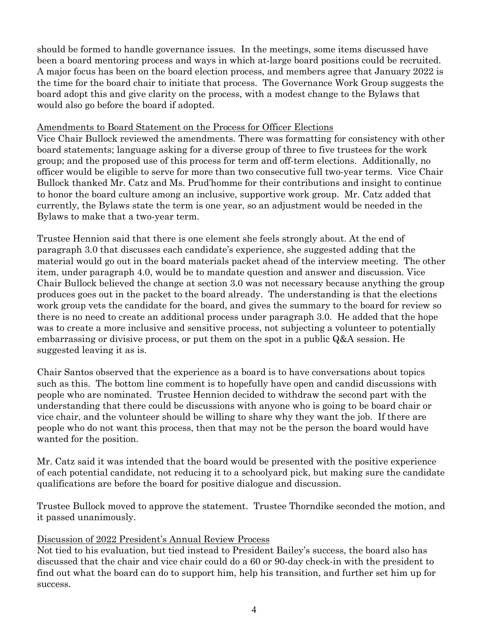should be formed to handle governance issues. In the meetings, some items discussed have been a board mentoring process and ways in which at-large board positions could be recruited. A major focus has been on the board election process, and members agree that January 2022 is the time for the board chair to initiate that process. The Governance Work Group suggests the board adopt this and give clarity on the process, with a modest change to the Bylaws that would also go before the board if adopted.

#### Amendments to Board Statement on the Process for Officer Elections

Vice Chair Bullock reviewed the amendments. There was formatting for consistency with other board statements; language asking for a diverse group of three to five trustees for the work group; and the proposed use of this process for term and off-term elections. Additionally, no officer would be eligible to serve for more than two consecutive full two-year terms. Vice Chair Bullock thanked Mr. Catz and Ms. Prud'homme for their contributions and insight to continue to honor the board culture among an inclusive, supportive work group. Mr. Catz added that currently, the Bylaws state the term is one year, so an adjustment would be needed in the Bylaws to make that a two-year term.

Trustee Hennion said that there is one element she feels strongly about. At the end of paragraph 3.0 that discusses each candidate's experience, she suggested adding that the material would go out in the board materials packet ahead of the interview meeting. The other item, under paragraph 4.0, would be to mandate question and answer and discussion. Vice Chair Bullock believed the change at section 3.0 was not necessary because anything the group produces goes out in the packet to the board already. The understanding is that the elections work group vets the candidate for the board, and gives the summary to the board for review so there is no need to create an additional process under paragraph 3.0. He added that the hope was to create a more inclusive and sensitive process, not subjecting a volunteer to potentially embarrassing or divisive process, or put them on the spot in a public Q&A session. He suggested leaving it as is.

Chair Santos observed that the experience as a board is to have conversations about topics such as this. The bottom line comment is to hopefully have open and candid discussions with people who are nominated. Trustee Hennion decided to withdraw the second part with the understanding that there could be discussions with anyone who is going to be board chair or vice chair, and the volunteer should be willing to share why they want the job. If there are people who do not want this process, then that may not be the person the board would have wanted for the position.

Mr. Catz said it was intended that the board would be presented with the positive experience of each potential candidate, not reducing it to a schoolyard pick, but making sure the candidate qualifications are before the board for positive dialogue and discussion.

Trustee Bullock moved to approve the statement. Trustee Thorndike seconded the motion, and it passed unanimously.

#### Discussion of 2022 President's Annual Review Process

Not tied to his evaluation, but tied instead to President Bailey's success, the board also has discussed that the chair and vice chair could do a 60 or 90-day check-in with the president to find out what the board can do to support him, help his transition, and further set him up for success.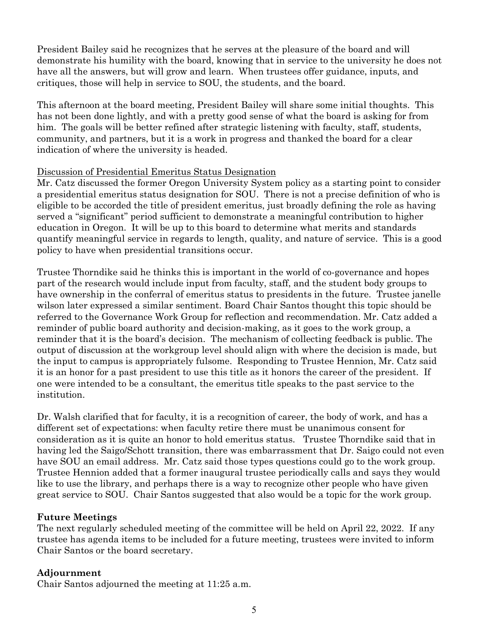President Bailey said he recognizes that he serves at the pleasure of the board and will demonstrate his humility with the board, knowing that in service to the university he does not have all the answers, but will grow and learn. When trustees offer guidance, inputs, and critiques, those will help in service to SOU, the students, and the board.

This afternoon at the board meeting, President Bailey will share some initial thoughts. This has not been done lightly, and with a pretty good sense of what the board is asking for from him. The goals will be better refined after strategic listening with faculty, staff, students, community, and partners, but it is a work in progress and thanked the board for a clear indication of where the university is headed.

#### Discussion of Presidential Emeritus Status Designation

Mr. Catz discussed the former Oregon University System policy as a starting point to consider a presidential emeritus status designation for SOU. There is not a precise definition of who is eligible to be accorded the title of president emeritus, just broadly defining the role as having served a "significant" period sufficient to demonstrate a meaningful contribution to higher education in Oregon. It will be up to this board to determine what merits and standards quantify meaningful service in regards to length, quality, and nature of service. This is a good policy to have when presidential transitions occur.

Trustee Thorndike said he thinks this is important in the world of co-governance and hopes part of the research would include input from faculty, staff, and the student body groups to have ownership in the conferral of emeritus status to presidents in the future. Trustee janelle wilson later expressed a similar sentiment. Board Chair Santos thought this topic should be referred to the Governance Work Group for reflection and recommendation. Mr. Catz added a reminder of public board authority and decision-making, as it goes to the work group, a reminder that it is the board's decision. The mechanism of collecting feedback is public. The output of discussion at the workgroup level should align with where the decision is made, but the input to campus is appropriately fulsome. Responding to Trustee Hennion, Mr. Catz said it is an honor for a past president to use this title as it honors the career of the president. If one were intended to be a consultant, the emeritus title speaks to the past service to the institution.

Dr. Walsh clarified that for faculty, it is a recognition of career, the body of work, and has a different set of expectations: when faculty retire there must be unanimous consent for consideration as it is quite an honor to hold emeritus status. Trustee Thorndike said that in having led the Saigo/Schott transition, there was embarrassment that Dr. Saigo could not even have SOU an email address. Mr. Catz said those types questions could go to the work group. Trustee Hennion added that a former inaugural trustee periodically calls and says they would like to use the library, and perhaps there is a way to recognize other people who have given great service to SOU. Chair Santos suggested that also would be a topic for the work group.

## **Future Meetings**

The next regularly scheduled meeting of the committee will be held on April 22, 2022. If any trustee has agenda items to be included for a future meeting, trustees were invited to inform Chair Santos or the board secretary.

## **Adjournment**

Chair Santos adjourned the meeting at 11:25 a.m.